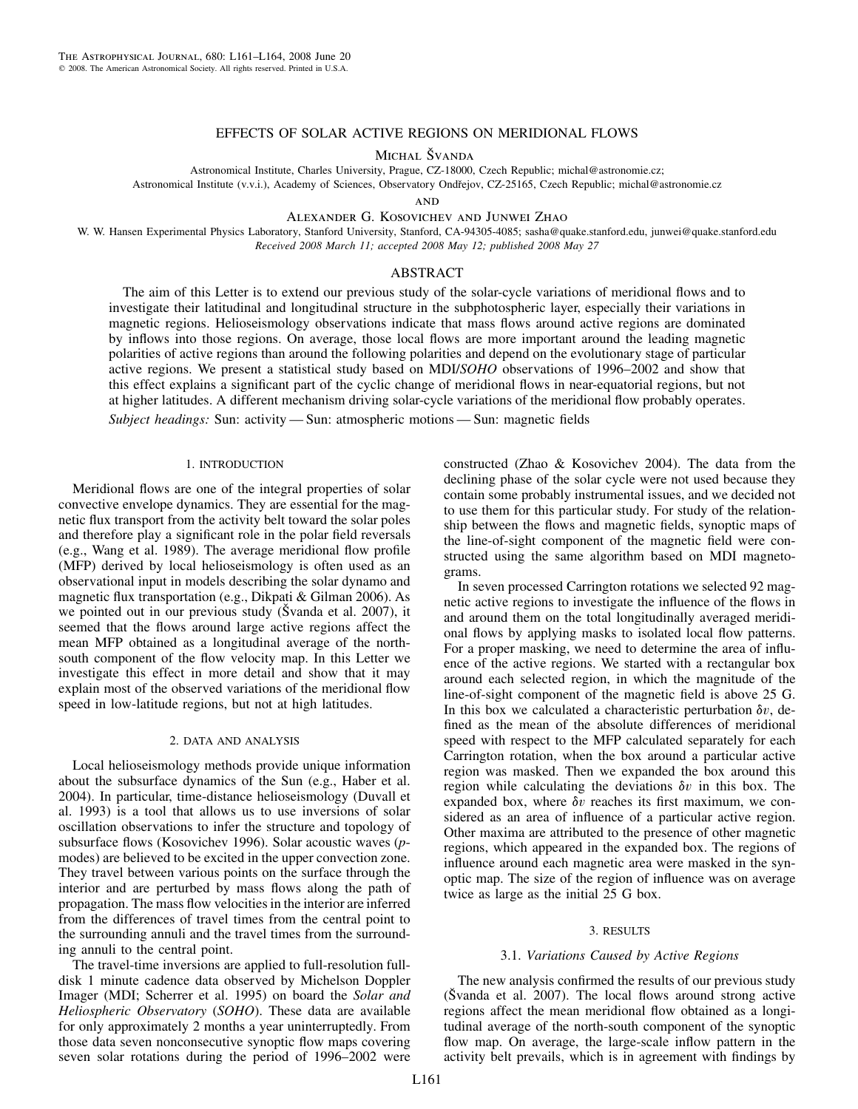## EFFECTS OF SOLAR ACTIVE REGIONS ON MERIDIONAL FLOWS

MICHAL ŠVANDA

Astronomical Institute, Charles University, Prague, CZ-18000, Czech Republic; michal@astronomie.cz;

Astronomical Institute (v.v.i.), Academy of Sciences, Observatory Ondřejov, CZ-25165, Czech Republic; michal@astronomie.cz

**AND** 

Alexander G. Kosovichev and Junwei Zhao

W. W. Hansen Experimental Physics Laboratory, Stanford University, Stanford, CA-94305-4085; sasha@quake.stanford.edu, junwei@quake.stanford.edu *Received 2008 March 11; accepted 2008 May 12; published 2008 May 27*

### ABSTRACT

The aim of this Letter is to extend our previous study of the solar-cycle variations of meridional flows and to investigate their latitudinal and longitudinal structure in the subphotospheric layer, especially their variations in magnetic regions. Helioseismology observations indicate that mass flows around active regions are dominated by inflows into those regions. On average, those local flows are more important around the leading magnetic polarities of active regions than around the following polarities and depend on the evolutionary stage of particular active regions. We present a statistical study based on MDI/*SOHO* observations of 1996–2002 and show that this effect explains a significant part of the cyclic change of meridional flows in near-equatorial regions, but not at higher latitudes. A different mechanism driving solar-cycle variations of the meridional flow probably operates.

*Subject headings:* Sun: activity — Sun: atmospheric motions — Sun: magnetic fields

#### 1. INTRODUCTION

Meridional flows are one of the integral properties of solar convective envelope dynamics. They are essential for the magnetic flux transport from the activity belt toward the solar poles and therefore play a significant role in the polar field reversals (e.g., Wang et al. 1989). The average meridional flow profile (MFP) derived by local helioseismology is often used as an observational input in models describing the solar dynamo and magnetic flux transportation (e.g., Dikpati & Gilman 2006). As we pointed out in our previous study (Svanda et al. 2007), it seemed that the flows around large active regions affect the mean MFP obtained as a longitudinal average of the northsouth component of the flow velocity map. In this Letter we investigate this effect in more detail and show that it may explain most of the observed variations of the meridional flow speed in low-latitude regions, but not at high latitudes.

### 2. DATA AND ANALYSIS

Local helioseismology methods provide unique information about the subsurface dynamics of the Sun (e.g., Haber et al. 2004). In particular, time-distance helioseismology (Duvall et al. 1993) is a tool that allows us to use inversions of solar oscillation observations to infer the structure and topology of subsurface flows (Kosovichev 1996). Solar acoustic waves (*p*modes) are believed to be excited in the upper convection zone. They travel between various points on the surface through the interior and are perturbed by mass flows along the path of propagation. The mass flow velocities in the interior are inferred from the differences of travel times from the central point to the surrounding annuli and the travel times from the surrounding annuli to the central point.

The travel-time inversions are applied to full-resolution fulldisk 1 minute cadence data observed by Michelson Doppler Imager (MDI; Scherrer et al. 1995) on board the *Solar and Heliospheric Observatory* (*SOHO*). These data are available for only approximately 2 months a year uninterruptedly. From those data seven nonconsecutive synoptic flow maps covering seven solar rotations during the period of 1996–2002 were constructed (Zhao & Kosovichev 2004). The data from the declining phase of the solar cycle were not used because they contain some probably instrumental issues, and we decided not to use them for this particular study. For study of the relationship between the flows and magnetic fields, synoptic maps of the line-of-sight component of the magnetic field were constructed using the same algorithm based on MDI magnetograms.

In seven processed Carrington rotations we selected 92 magnetic active regions to investigate the influence of the flows in and around them on the total longitudinally averaged meridional flows by applying masks to isolated local flow patterns. For a proper masking, we need to determine the area of influence of the active regions. We started with a rectangular box around each selected region, in which the magnitude of the line-of-sight component of the magnetic field is above 25 G. In this box we calculated a characteristic perturbation  $\delta v$ , defined as the mean of the absolute differences of meridional speed with respect to the MFP calculated separately for each Carrington rotation, when the box around a particular active region was masked. Then we expanded the box around this region while calculating the deviations  $\delta v$  in this box. The expanded box, where  $\delta v$  reaches its first maximum, we considered as an area of influence of a particular active region. Other maxima are attributed to the presence of other magnetic regions, which appeared in the expanded box. The regions of influence around each magnetic area were masked in the synoptic map. The size of the region of influence was on average twice as large as the initial 25 G box.

#### 3. RESULTS

## 3.1. *Variations Caused by Active Regions*

The new analysis confirmed the results of our previous study  $(\text{Švanda et al. } 2007)$ . The local flows around strong active regions affect the mean meridional flow obtained as a longitudinal average of the north-south component of the synoptic flow map. On average, the large-scale inflow pattern in the activity belt prevails, which is in agreement with findings by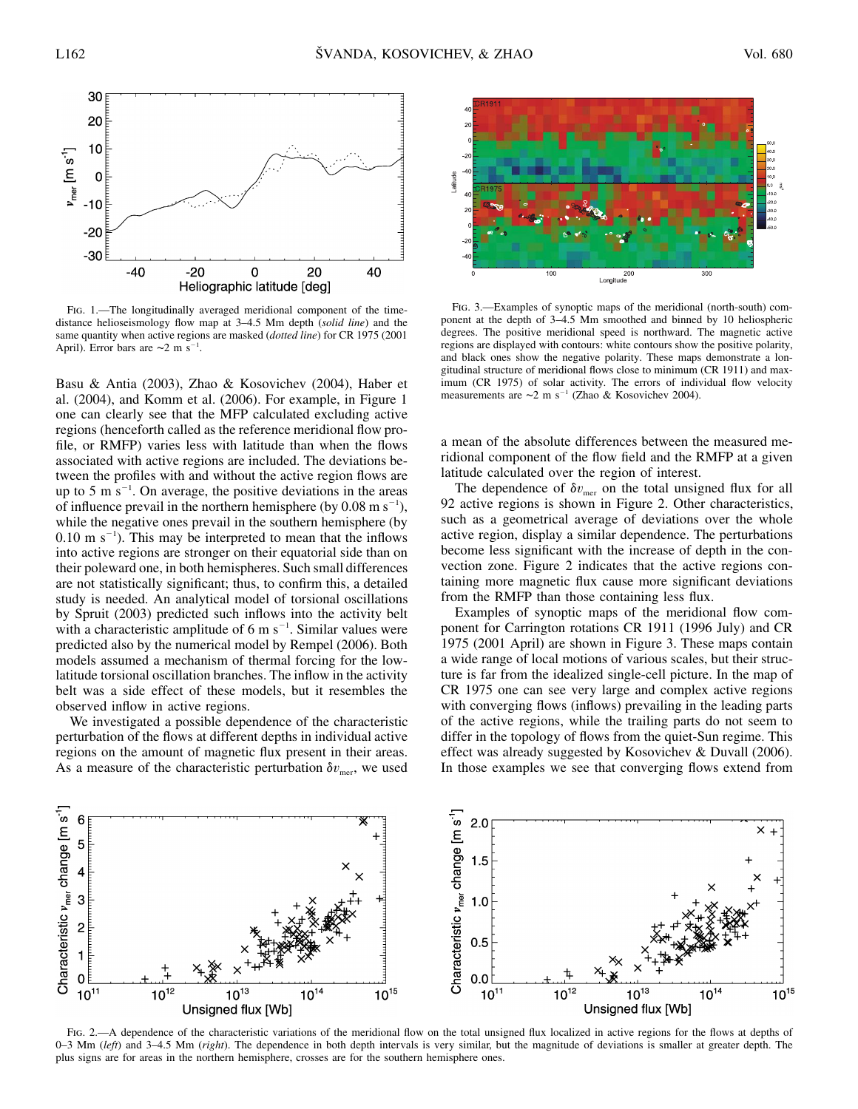

Fig. 1.—The longitudinally averaged meridional component of the timedistance helioseismology flow map at 3–4.5 Mm depth (*solid line*) and the same quantity when active regions are masked (*dotted line*) for CR 1975 (2001 April). Error bars are  $\sim$ 2 m s<sup>-1</sup>.

Basu & Antia (2003), Zhao & Kosovichev (2004), Haber et al. (2004), and Komm et al. (2006). For example, in Figure 1 one can clearly see that the MFP calculated excluding active regions (henceforth called as the reference meridional flow profile, or RMFP) varies less with latitude than when the flows associated with active regions are included. The deviations between the profiles with and without the active region flows are up to 5 m  $s^{-1}$ . On average, the positive deviations in the areas of influence prevail in the northern hemisphere (by  $0.08 \text{ m s}^{-1}$ ), while the negative ones prevail in the southern hemisphere (by  $0.10 \text{ m s}^{-1}$ ). This may be interpreted to mean that the inflows into active regions are stronger on their equatorial side than on their poleward one, in both hemispheres. Such small differences are not statistically significant; thus, to confirm this, a detailed study is needed. An analytical model of torsional oscillations by Spruit (2003) predicted such inflows into the activity belt with a characteristic amplitude of  $6 \text{ m s}^{-1}$ . Similar values were predicted also by the numerical model by Rempel (2006). Both models assumed a mechanism of thermal forcing for the lowlatitude torsional oscillation branches. The inflow in the activity belt was a side effect of these models, but it resembles the observed inflow in active regions.

We investigated a possible dependence of the characteristic perturbation of the flows at different depths in individual active regions on the amount of magnetic flux present in their areas. As a measure of the characteristic perturbation  $\delta v_{\text{mer}}$ , we used



Fig. 3.—Examples of synoptic maps of the meridional (north-south) component at the depth of 3–4.5 Mm smoothed and binned by 10 heliospheric degrees. The positive meridional speed is northward. The magnetic active regions are displayed with contours: white contours show the positive polarity, and black ones show the negative polarity. These maps demonstrate a longitudinal structure of meridional flows close to minimum (CR 1911) and maximum (CR 1975) of solar activity. The errors of individual flow velocity measurements are ∼2 m s<sup>-1</sup> (Zhao & Kosovichev 2004).

a mean of the absolute differences between the measured meridional component of the flow field and the RMFP at a given latitude calculated over the region of interest.

The dependence of  $\delta v_{\text{mer}}$  on the total unsigned flux for all 92 active regions is shown in Figure 2. Other characteristics, such as a geometrical average of deviations over the whole active region, display a similar dependence. The perturbations become less significant with the increase of depth in the convection zone. Figure 2 indicates that the active regions containing more magnetic flux cause more significant deviations from the RMFP than those containing less flux.

Examples of synoptic maps of the meridional flow component for Carrington rotations CR 1911 (1996 July) and CR 1975 (2001 April) are shown in Figure 3. These maps contain a wide range of local motions of various scales, but their structure is far from the idealized single-cell picture. In the map of CR 1975 one can see very large and complex active regions with converging flows (inflows) prevailing in the leading parts of the active regions, while the trailing parts do not seem to differ in the topology of flows from the quiet-Sun regime. This effect was already suggested by Kosovichev & Duvall (2006). In those examples we see that converging flows extend from



FIG. 2.—A dependence of the characteristic variations of the meridional flow on the total unsigned flux localized in active regions for the flows at depths of 0–3 Mm (*left*) and 3–4.5 Mm (*right*). The dependence in both depth intervals is very similar, but the magnitude of deviations is smaller at greater depth. The plus signs are for areas in the northern hemisphere, crosses are for the southern hemisphere ones.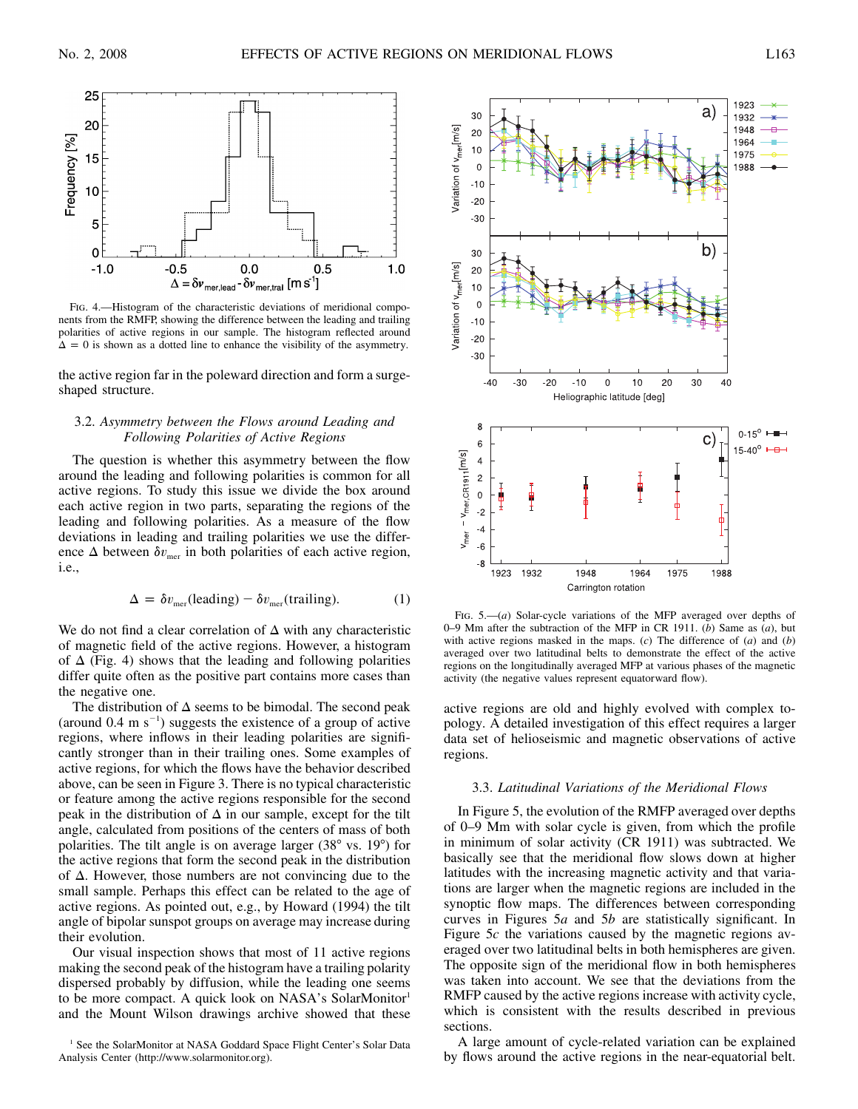

Fig. 4.—Histogram of the characteristic deviations of meridional components from the RMFP, showing the difference between the leading and trailing polarities of active regions in our sample. The histogram reflected around  $\Delta = 0$  is shown as a dotted line to enhance the visibility of the asymmetry.

the active region far in the poleward direction and form a surgeshaped structure.

# 3.2. *Asymmetry between the Flows around Leading and Following Polarities of Active Regions*

The question is whether this asymmetry between the flow around the leading and following polarities is common for all active regions. To study this issue we divide the box around each active region in two parts, separating the regions of the leading and following polarities. As a measure of the flow deviations in leading and trailing polarities we use the difference  $\Delta$  between  $\delta v_{\text{mer}}$  in both polarities of each active region, i.e.,

$$
\Delta = \delta v_{\text{mer}}(\text{leading}) - \delta v_{\text{mer}}(\text{training}).\tag{1}
$$

We do not find a clear correlation of  $\Delta$  with any characteristic of magnetic field of the active regions. However, a histogram of  $\Delta$  (Fig. 4) shows that the leading and following polarities differ quite often as the positive part contains more cases than the negative one.

The distribution of  $\Delta$  seems to be bimodal. The second peak (around  $0.4 \text{ m s}^{-1}$ ) suggests the existence of a group of active regions, where inflows in their leading polarities are significantly stronger than in their trailing ones. Some examples of active regions, for which the flows have the behavior described above, can be seen in Figure 3. There is no typical characteristic or feature among the active regions responsible for the second peak in the distribution of  $\Delta$  in our sample, except for the tilt angle, calculated from positions of the centers of mass of both polarities. The tilt angle is on average larger (38° vs. 19°) for the active regions that form the second peak in the distribution of  $\Delta$ . However, those numbers are not convincing due to the small sample. Perhaps this effect can be related to the age of active regions. As pointed out, e.g., by Howard (1994) the tilt angle of bipolar sunspot groups on average may increase during their evolution.

Our visual inspection shows that most of 11 active regions making the second peak of the histogram have a trailing polarity dispersed probably by diffusion, while the leading one seems to be more compact. A quick look on NASA's SolarMonitor<sup>1</sup> and the Mount Wilson drawings archive showed that these



FIG. 5.—(*a*) Solar-cycle variations of the MFP averaged over depths of 0–9 Mm after the subtraction of the MFP in CR 1911. (*b*) Same as (*a*), but with active regions masked in the maps. (*c*) The difference of (*a*) and (*b*) averaged over two latitudinal belts to demonstrate the effect of the active regions on the longitudinally averaged MFP at various phases of the magnetic activity (the negative values represent equatorward flow).

active regions are old and highly evolved with complex topology. A detailed investigation of this effect requires a larger data set of helioseismic and magnetic observations of active regions.

## 3.3. *Latitudinal Variations of the Meridional Flows*

In Figure 5, the evolution of the RMFP averaged over depths of 0–9 Mm with solar cycle is given, from which the profile in minimum of solar activity (CR 1911) was subtracted. We basically see that the meridional flow slows down at higher latitudes with the increasing magnetic activity and that variations are larger when the magnetic regions are included in the synoptic flow maps. The differences between corresponding curves in Figures 5*a* and 5*b* are statistically significant. In Figure 5*c* the variations caused by the magnetic regions averaged over two latitudinal belts in both hemispheres are given. The opposite sign of the meridional flow in both hemispheres was taken into account. We see that the deviations from the RMFP caused by the active regions increase with activity cycle, which is consistent with the results described in previous sections.

A large amount of cycle-related variation can be explained by flows around the active regions in the near-equatorial belt.

<sup>&</sup>lt;sup>1</sup> See the SolarMonitor at NASA Goddard Space Flight Center's Solar Data Analysis Center (http://www.solarmonitor.org).